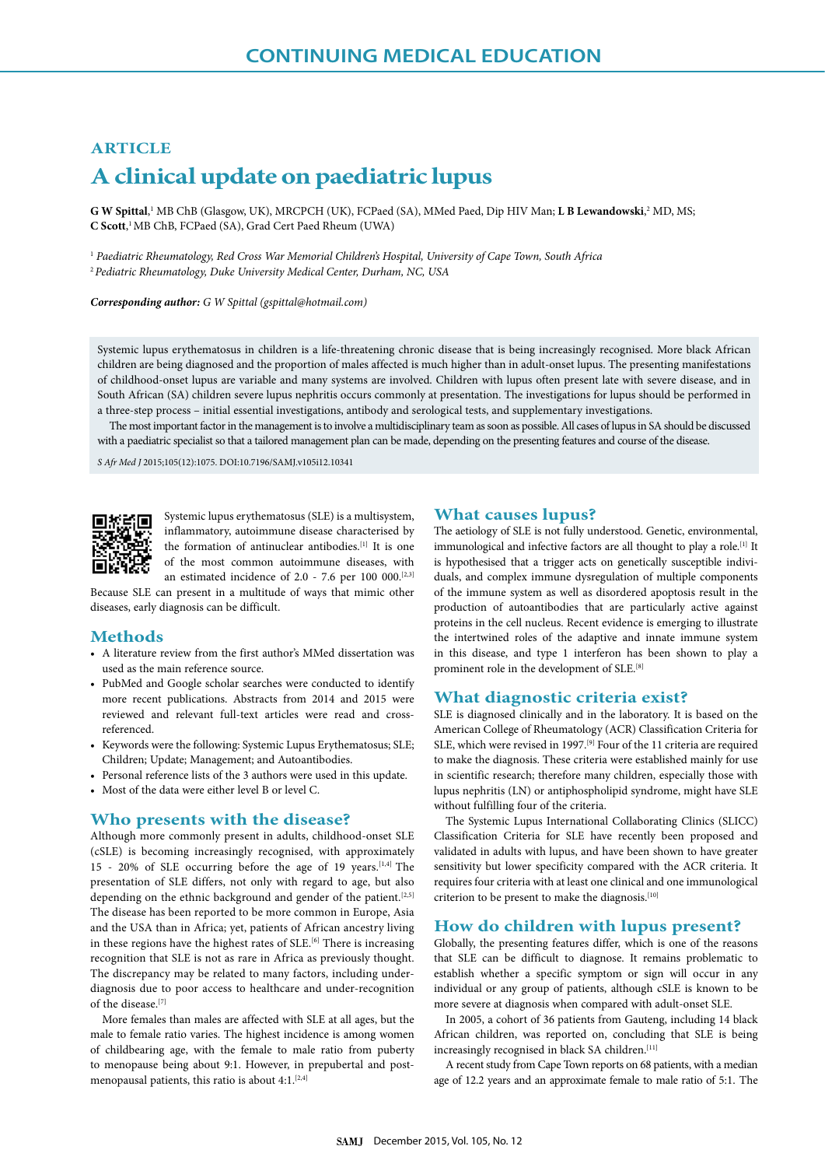# **ARTICLE A clinical update on paediatric lupus**

G W Spittal,<sup>1</sup> MB ChB (Glasgow, UK), MRCPCH (UK), FCPaed (SA), MMed Paed, Dip HIV Man; L **B Lewandowski**,<sup>2</sup> MD, MS; **C Scott**, 1 MB ChB, FCPaed (SA), Grad Cert Paed Rheum (UWA)

<sup>1</sup> *Paediatric Rheumatology, Red Cross War Memorial Children's Hospital, University of Cape Town, South Africa* <sup>2</sup>*Pediatric Rheumatology, Duke University Medical Center, Durham, NC, USA*

*Corresponding author: G W Spittal (gspittal@hotmail.com)*

Systemic lupus erythematosus in children is a life-threatening chronic disease that is being increasingly recognised. More black African children are being diagnosed and the proportion of males affected is much higher than in adult-onset lupus. The presenting manifestations of childhood-onset lupus are variable and many systems are involved. Children with lupus often present late with severe disease, and in South African (SA) children severe lupus nephritis occurs commonly at presentation. The investigations for lupus should be performed in a three-step process – initial essential investigations, antibody and serological tests, and supplementary investigations.

The most important factor in the management is to involve a multidisciplinary team as soon as possible. All cases of lupus in SA should be discussed with a paediatric specialist so that a tailored management plan can be made, depending on the presenting features and course of the disease.

*S Afr Med J* 2015;105(12):1075. DOI:10.7196/SAMJ.v105i12.10341



Systemic lupus erythematosus (SLE) is a multisystem, inflammatory, autoimmune disease characterised by the formation of antinuclear antibodies.[1] It is one of the most common autoimmune diseases, with an estimated incidence of  $2.0$  - 7.6 per 100 000.<sup>[2,3]</sup>

Because SLE can present in a multitude of ways that mimic other diseases, early diagnosis can be difficult.

#### **Methods**

- A literature review from the first author's MMed dissertation was used as the main reference source.
- PubMed and Google scholar searches were conducted to identify more recent publications. Abstracts from 2014 and 2015 were reviewed and relevant full-text articles were read and crossreferenced.
- Keywords were the following: Systemic Lupus Erythematosus; SLE; Children; Update; Management; and Autoantibodies.
- Personal reference lists of the 3 authors were used in this update.
- Most of the data were either level B or level C.

#### **Who presents with the disease?**

Although more commonly present in adults, childhood-onset SLE (cSLE) is becoming increasingly recognised, with approximately 15 - 20% of SLE occurring before the age of 19 years.[1,4] The presentation of SLE differs, not only with regard to age, but also depending on the ethnic background and gender of the patient.<sup>[2,5]</sup> The disease has been reported to be more common in Europe, Asia and the USA than in Africa; yet, patients of African ancestry living in these regions have the highest rates of SLE.  $^{[6]}$  There is increasing recognition that SLE is not as rare in Africa as previously thought. The discrepancy may be related to many factors, including underdiagnosis due to poor access to healthcare and under-recognition of the disease.<sup>[7]</sup>

More females than males are affected with SLE at all ages, but the male to female ratio varies. The highest incidence is among women of childbearing age, with the female to male ratio from puberty to menopause being about 9:1. However, in prepubertal and postmenopausal patients, this ratio is about 4:1.<sup>[2,4]</sup>

#### **What causes lupus?**

The aetiology of SLE is not fully understood. Genetic, environmental, immunological and infective factors are all thought to play a role.<sup>[1]</sup> It is hypothesised that a trigger acts on genetically susceptible individuals, and complex immune dysregulation of multiple components of the immune system as well as disordered apoptosis result in the production of autoantibodies that are particularly active against proteins in the cell nucleus. Recent evidence is emerging to illustrate the intertwined roles of the adaptive and innate immune system in this disease, and type 1 interferon has been shown to play a prominent role in the development of SLE.<sup>[8]</sup>

### **What diagnostic criteria exist?**

SLE is diagnosed clinically and in the laboratory. It is based on the American College of Rheumatology (ACR) Classification Criteria for SLE, which were revised in 1997.<sup>[9]</sup> Four of the 11 criteria are required to make the diagnosis. These criteria were established mainly for use in scientific research; therefore many children, especially those with lupus nephritis (LN) or antiphospholipid syndrome, might have SLE without fulfilling four of the criteria.

The Systemic Lupus International Collaborating Clinics (SLICC) Classification Criteria for SLE have recently been proposed and validated in adults with lupus, and have been shown to have greater sensitivity but lower specificity compared with the ACR criteria. It requires four criteria with at least one clinical and one immunological criterion to be present to make the diagnosis.[10]

#### **How do children with lupus present?**

Globally, the presenting features differ, which is one of the reasons that SLE can be difficult to diagnose. It remains problematic to establish whether a specific symptom or sign will occur in any individual or any group of patients, although cSLE is known to be more severe at diagnosis when compared with adult-onset SLE.

In 2005, a cohort of 36 patients from Gauteng, including 14 black African children, was reported on, concluding that SLE is being increasingly recognised in black SA children.<sup>[11]</sup>

A recent study from Cape Town reports on 68 patients, with a median age of 12.2 years and an approximate female to male ratio of 5:1. The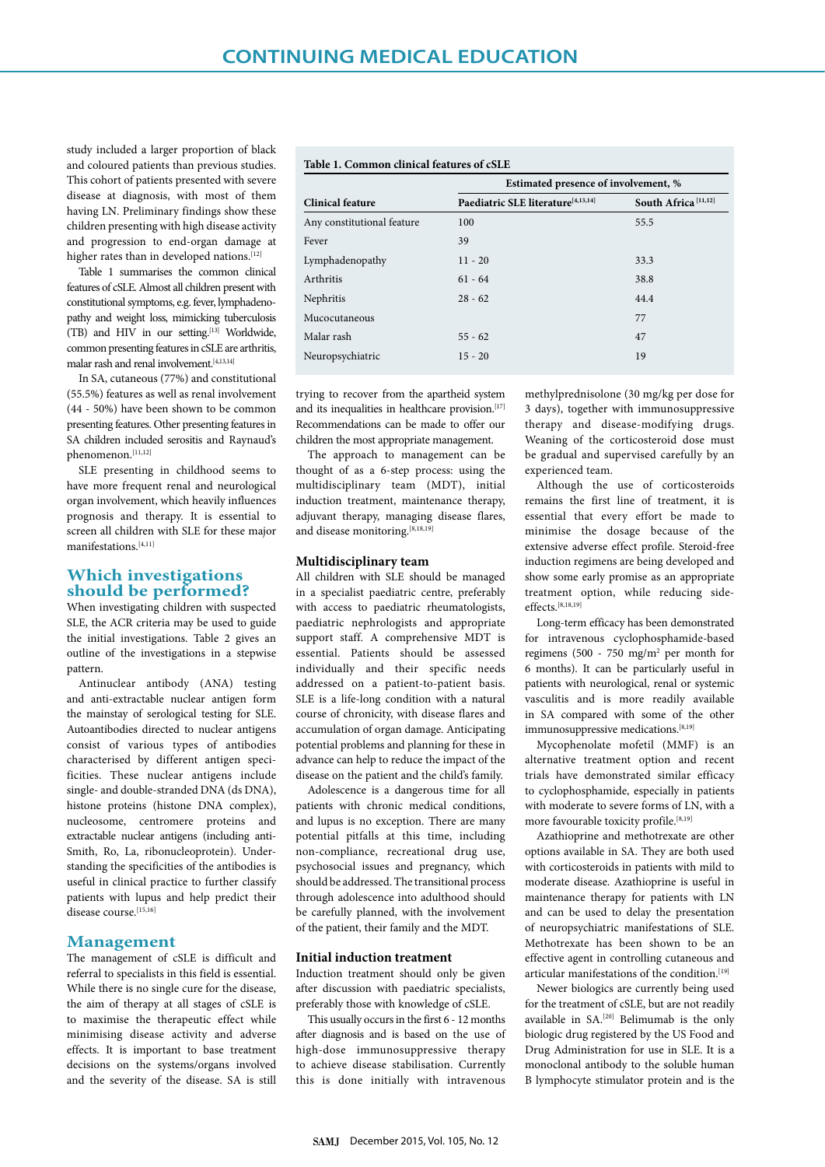study included a larger proportion of black and coloured patients than previous studies. This cohort of patients presented with severe disease at diagnosis, with most of them having LN. Preliminary findings show these children presenting with high disease activity and progression to end-organ damage at higher rates than in developed nations.<sup>[12]</sup>

Table 1 summarises the common clinical features of cSLE. Almost all children present with constitutional symptoms, e.g. fever, lymphadenopathy and weight loss, mimicking tuberculosis (TB) and HIV in our setting.[13] Worldwide, common presenting features in cSLE are arthritis, malar rash and renal involvement.<sup>[4,13,14]</sup>

In SA, cutaneous (77%) and constitutional (55.5%) features as well as renal involvement (44 - 50%) have been shown to be common presenting features. Other presenting features in SA children included serositis and Raynaud's phenomenon.<sup>[11,12]</sup>

SLE presenting in childhood seems to have more frequent renal and neurological organ involvement, which heavily influences prognosis and therapy. It is essential to screen all children with SLE for these major manifestations.[4,11]

# **Which investigations should be performed?**

When investigating children with suspected SLE, the ACR criteria may be used to guide the initial investigations. Table 2 gives an outline of the investigations in a stepwise pattern.

Antinuclear antibody (ANA) testing and anti-extractable nuclear antigen form the mainstay of serological testing for SLE. Autoantibodies directed to nuclear antigens consist of various types of antibodies characterised by different antigen specificities. These nuclear antigens include single- and double-stranded DNA (ds DNA), histone proteins (histone DNA complex), nucleosome, centromere proteins and extractable nuclear antigens (including anti-Smith, Ro, La, ribonucleoprotein). Understanding the specificities of the antibodies is useful in clinical practice to further classify patients with lupus and help predict their disease course.<sup>[15,16]</sup>

# **Management**

The management of cSLE is difficult and referral to specialists in this field is essential. While there is no single cure for the disease, the aim of therapy at all stages of cSLE is to maximise the therapeutic effect while minimising disease activity and adverse effects. It is important to base treatment decisions on the systems/organs involved and the severity of the disease. SA is still

| <b>Clinical feature</b>    | Estimated presence of involvement, % |                                 |
|----------------------------|--------------------------------------|---------------------------------|
|                            | Paediatric SLE literature[4,13,14]   | South Africa <sup>[11,12]</sup> |
| Any constitutional feature | 100                                  | 55.5                            |
| Fever                      | 39                                   |                                 |
| Lymphadenopathy            | $11 - 20$                            | 33.3                            |
| Arthritis                  | $61 - 64$                            | 38.8                            |
| Nephritis                  | $28 - 62$                            | 44.4                            |
| Mucocutaneous              |                                      | 77                              |
| Malar rash                 | $55 - 62$                            | 47                              |
| Neuropsychiatric           | $15 - 20$                            | 19                              |

trying to recover from the apartheid system and its inequalities in healthcare provision.<sup>[17]</sup> Recommendations can be made to offer our children the most appropriate management.

The approach to management can be thought of as a 6-step process: using the multidisciplinary team (MDT), initial induction treatment, maintenance therapy, adjuvant therapy, managing disease flares, and disease monitoring.[8,18,19]

### **Multidisciplinary team**

All children with SLE should be managed in a specialist paediatric centre, preferably with access to paediatric rheumatologists, paediatric nephrologists and appropriate support staff. A comprehensive MDT is essential. Patients should be assessed individually and their specific needs addressed on a patient-to-patient basis. SLE is a life-long condition with a natural course of chronicity, with disease flares and accumulation of organ damage. Anticipating potential problems and planning for these in advance can help to reduce the impact of the disease on the patient and the child's family.

Adolescence is a dangerous time for all patients with chronic medical conditions, and lupus is no exception. There are many potential pitfalls at this time, including non-compliance, recreational drug use, psychosocial issues and pregnancy, which should be addressed. The transitional process through adolescence into adulthood should be carefully planned, with the involvement of the patient, their family and the MDT.

#### **Initial induction treatment**

Induction treatment should only be given after discussion with paediatric specialists, preferably those with knowledge of cSLE.

This usually occurs in the first 6 - 12 months after diagnosis and is based on the use of high-dose immunosuppressive therapy to achieve disease stabilisation. Currently this is done initially with intravenous

methylprednisolone (30 mg/kg per dose for 3 days), together with immunosuppressive therapy and disease-modifying drugs. Weaning of the corticosteroid dose must be gradual and supervised carefully by an experienced team.

Although the use of corticosteroids remains the first line of treatment, it is essential that every effort be made to minimise the dosage because of the extensive adverse effect profile. Steroid-free induction regimens are being developed and show some early promise as an appropriate treatment option, while reducing sideeffects.[8,18,19]

Long-term efficacy has been demonstrated for intravenous cyclophosphamide-based regimens (500 - 750 mg/m2 per month for 6 months). It can be particularly useful in patients with neurological, renal or systemic vasculitis and is more readily available in SA compared with some of the other immunosuppressive medications.[8,19]

Mycophenolate mofetil (MMF) is an alternative treatment option and recent trials have demonstrated similar efficacy to cyclophosphamide, especially in patients with moderate to severe forms of LN, with a more favourable toxicity profile.<sup>[8,19]</sup>

Azathioprine and methotrexate are other options available in SA. They are both used with corticosteroids in patients with mild to moderate disease. Azathioprine is useful in maintenance therapy for patients with LN and can be used to delay the presentation of neuropsychiatric manifestations of SLE. Methotrexate has been shown to be an effective agent in controlling cutaneous and articular manifestations of the condition.<sup>[19]</sup>

Newer biologics are currently being used for the treatment of cSLE, but are not readily available in SA.[20] Belimumab is the only biologic drug registered by the US Food and Drug Administration for use in SLE. It is a monoclonal antibody to the soluble human B lymphocyte stimulator protein and is the

# **Table 1. Common clinical features of cSLE**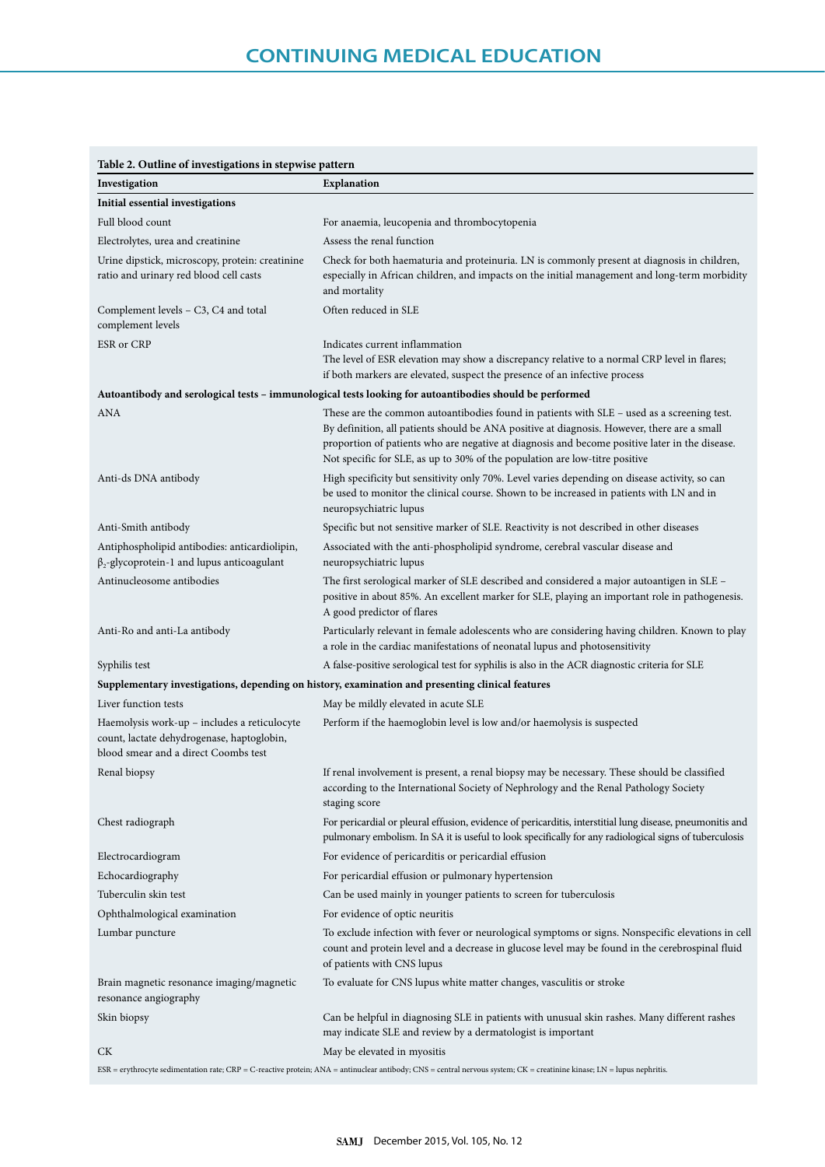| Table 2. Outline of investigations in stepwise pattern                                                                             |                                                                                                                                                                                                                                                                                                                                                                            |  |
|------------------------------------------------------------------------------------------------------------------------------------|----------------------------------------------------------------------------------------------------------------------------------------------------------------------------------------------------------------------------------------------------------------------------------------------------------------------------------------------------------------------------|--|
| Investigation                                                                                                                      | <b>Explanation</b>                                                                                                                                                                                                                                                                                                                                                         |  |
| Initial essential investigations                                                                                                   |                                                                                                                                                                                                                                                                                                                                                                            |  |
| Full blood count                                                                                                                   | For anaemia, leucopenia and thrombocytopenia                                                                                                                                                                                                                                                                                                                               |  |
| Electrolytes, urea and creatinine                                                                                                  | Assess the renal function                                                                                                                                                                                                                                                                                                                                                  |  |
| Urine dipstick, microscopy, protein: creatinine<br>ratio and urinary red blood cell casts                                          | Check for both haematuria and proteinuria. LN is commonly present at diagnosis in children,<br>especially in African children, and impacts on the initial management and long-term morbidity<br>and mortality                                                                                                                                                              |  |
| Complement levels - C3, C4 and total<br>complement levels                                                                          | Often reduced in SLE                                                                                                                                                                                                                                                                                                                                                       |  |
| ESR or CRP                                                                                                                         | Indicates current inflammation<br>The level of ESR elevation may show a discrepancy relative to a normal CRP level in flares;<br>if both markers are elevated, suspect the presence of an infective process                                                                                                                                                                |  |
|                                                                                                                                    | Autoantibody and serological tests - immunological tests looking for autoantibodies should be performed                                                                                                                                                                                                                                                                    |  |
| <b>ANA</b>                                                                                                                         | These are the common autoantibodies found in patients with SLE - used as a screening test.<br>By definition, all patients should be ANA positive at diagnosis. However, there are a small<br>proportion of patients who are negative at diagnosis and become positive later in the disease.<br>Not specific for SLE, as up to 30% of the population are low-titre positive |  |
| Anti-ds DNA antibody                                                                                                               | High specificity but sensitivity only 70%. Level varies depending on disease activity, so can<br>be used to monitor the clinical course. Shown to be increased in patients with LN and in<br>neuropsychiatric lupus                                                                                                                                                        |  |
| Anti-Smith antibody                                                                                                                | Specific but not sensitive marker of SLE. Reactivity is not described in other diseases                                                                                                                                                                                                                                                                                    |  |
| Antiphospholipid antibodies: anticardiolipin,<br>$\beta_2$ -glycoprotein-1 and lupus anticoagulant                                 | Associated with the anti-phospholipid syndrome, cerebral vascular disease and<br>neuropsychiatric lupus                                                                                                                                                                                                                                                                    |  |
| Antinucleosome antibodies                                                                                                          | The first serological marker of SLE described and considered a major autoantigen in SLE -<br>positive in about 85%. An excellent marker for SLE, playing an important role in pathogenesis.<br>A good predictor of flares                                                                                                                                                  |  |
| Anti-Ro and anti-La antibody                                                                                                       | Particularly relevant in female adolescents who are considering having children. Known to play<br>a role in the cardiac manifestations of neonatal lupus and photosensitivity                                                                                                                                                                                              |  |
| Syphilis test                                                                                                                      | A false-positive serological test for syphilis is also in the ACR diagnostic criteria for SLE                                                                                                                                                                                                                                                                              |  |
|                                                                                                                                    | Supplementary investigations, depending on history, examination and presenting clinical features                                                                                                                                                                                                                                                                           |  |
| Liver function tests                                                                                                               | May be mildly elevated in acute SLE                                                                                                                                                                                                                                                                                                                                        |  |
| Haemolysis work-up - includes a reticulocyte<br>count, lactate dehydrogenase, haptoglobin,<br>blood smear and a direct Coombs test | Perform if the haemoglobin level is low and/or haemolysis is suspected                                                                                                                                                                                                                                                                                                     |  |
| Renal biopsy                                                                                                                       | If renal involvement is present, a renal biopsy may be necessary. These should be classified<br>according to the International Society of Nephrology and the Renal Pathology Society<br>staging score                                                                                                                                                                      |  |
| Chest radiograph                                                                                                                   | For pericardial or pleural effusion, evidence of pericarditis, interstitial lung disease, pneumonitis and<br>pulmonary embolism. In SA it is useful to look specifically for any radiological signs of tuberculosis                                                                                                                                                        |  |
| Electrocardiogram                                                                                                                  | For evidence of pericarditis or pericardial effusion                                                                                                                                                                                                                                                                                                                       |  |
| Echocardiography                                                                                                                   | For pericardial effusion or pulmonary hypertension                                                                                                                                                                                                                                                                                                                         |  |
| Tuberculin skin test                                                                                                               | Can be used mainly in younger patients to screen for tuberculosis                                                                                                                                                                                                                                                                                                          |  |
| Ophthalmological examination                                                                                                       | For evidence of optic neuritis                                                                                                                                                                                                                                                                                                                                             |  |
| Lumbar puncture                                                                                                                    | To exclude infection with fever or neurological symptoms or signs. Nonspecific elevations in cell<br>count and protein level and a decrease in glucose level may be found in the cerebrospinal fluid<br>of patients with CNS lupus                                                                                                                                         |  |
| Brain magnetic resonance imaging/magnetic<br>resonance angiography                                                                 | To evaluate for CNS lupus white matter changes, vasculitis or stroke                                                                                                                                                                                                                                                                                                       |  |
| Skin biopsy                                                                                                                        | Can be helpful in diagnosing SLE in patients with unusual skin rashes. Many different rashes<br>may indicate SLE and review by a dermatologist is important                                                                                                                                                                                                                |  |
| <b>CK</b>                                                                                                                          | May be elevated in myositis                                                                                                                                                                                                                                                                                                                                                |  |
|                                                                                                                                    | ESR = erythrocyte sedimentation rate; CRP = C-reactive protein; ANA = antinuclear antibody; CNS = central nervous system; CK = creatinine kinase; LN = lupus nephritis.                                                                                                                                                                                                    |  |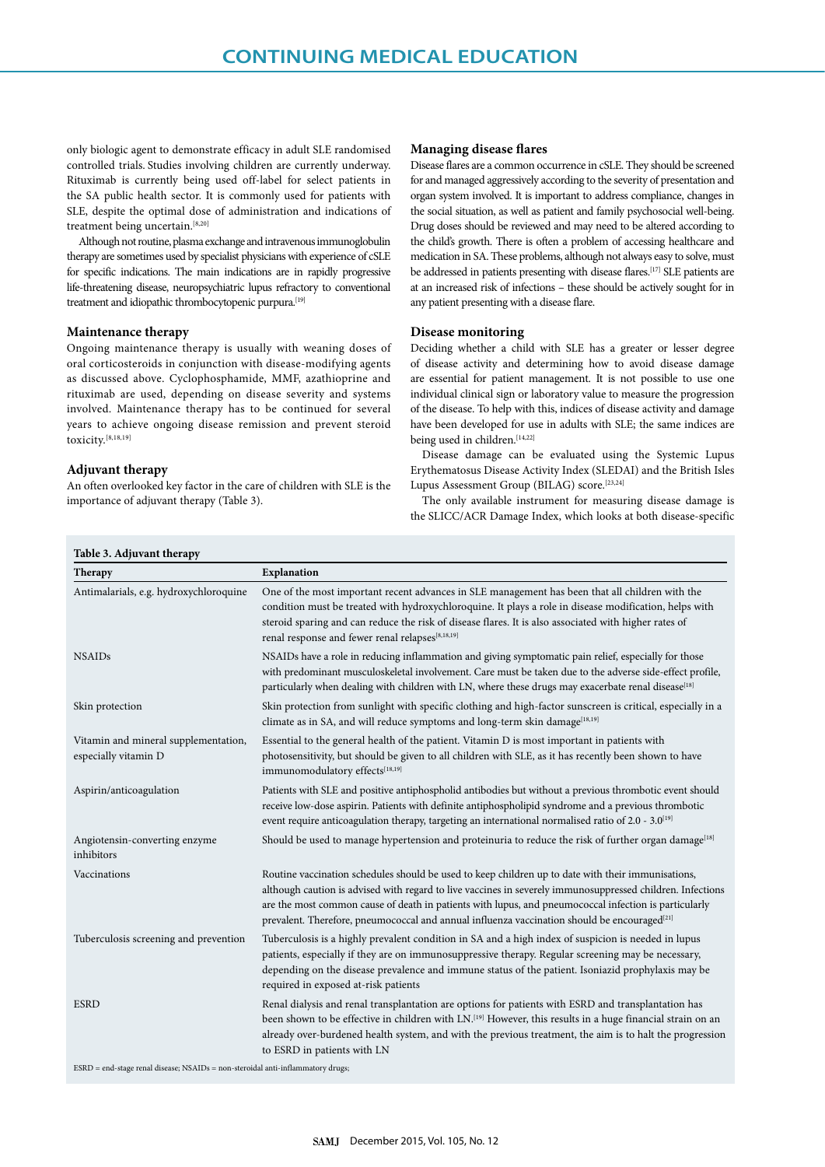only biologic agent to demonstrate efficacy in adult SLE randomised controlled trials. Studies involving children are currently underway. Rituximab is currently being used off-label for select patients in the SA public health sector. It is commonly used for patients with SLE, despite the optimal dose of administration and indications of treatment being uncertain.[8,20]

Although not routine, plasma exchange and intravenous immunoglobulin therapy are sometimes used by specialist physicians with experience of cSLE for specific indications. The main indications are in rapidly progressive life-threatening disease, neuropsychiatric lupus refractory to conventional treatment and idiopathic thrombocytopenic purpura.<sup>[19]</sup>

#### **Maintenance therapy**

Ongoing maintenance therapy is usually with weaning doses of oral corticosteroids in conjunction with disease-modifying agents as discussed above. Cyclophosphamide, MMF, azathioprine and rituximab are used, depending on disease severity and systems involved. Maintenance therapy has to be continued for several years to achieve ongoing disease remission and prevent steroid toxicity.<sup>[8,18,19]</sup>

#### **Adjuvant therapy**

An often overlooked key factor in the care of children with SLE is the importance of adjuvant therapy (Table 3).

#### **Managing disease flares**

Disease flares are a common occurrence in cSLE. They should be screened for and managed aggressively according to the severity of presentation and organ system involved. It is important to address compliance, changes in the social situation, as well as patient and family psychosocial well-being. Drug doses should be reviewed and may need to be altered according to the child's growth. There is often a problem of accessing healthcare and medication in SA. These problems, although not always easy to solve, must be addressed in patients presenting with disease flares.<sup>[17]</sup> SLE patients are at an increased risk of infections – these should be actively sought for in any patient presenting with a disease flare.

#### **Disease monitoring**

Deciding whether a child with SLE has a greater or lesser degree of disease activity and determining how to avoid disease damage are essential for patient management. It is not possible to use one individual clinical sign or laboratory value to measure the progression of the disease. To help with this, indices of disease activity and damage have been developed for use in adults with SLE; the same indices are being used in children.<sup>[14,22]</sup>

Disease damage can be evaluated using the Systemic Lupus Erythematosus Disease Activity Index (SLEDAI) and the British Isles Lupus Assessment Group (BILAG) score.[23,24]

The only available instrument for measuring disease damage is the SLICC/ACR Damage Index, which looks at both disease-specific

#### **Table 3. Adjuvant therapy**

| Therapy                                                                         | Explanation                                                                                                                                                                                                                                                                                                                                                                                                                           |
|---------------------------------------------------------------------------------|---------------------------------------------------------------------------------------------------------------------------------------------------------------------------------------------------------------------------------------------------------------------------------------------------------------------------------------------------------------------------------------------------------------------------------------|
| Antimalarials, e.g. hydroxychloroquine                                          | One of the most important recent advances in SLE management has been that all children with the<br>condition must be treated with hydroxychloroquine. It plays a role in disease modification, helps with<br>steroid sparing and can reduce the risk of disease flares. It is also associated with higher rates of<br>renal response and fewer renal relapses <sup>[8,18,19]</sup>                                                    |
| <b>NSAIDs</b>                                                                   | NSAIDs have a role in reducing inflammation and giving symptomatic pain relief, especially for those<br>with predominant musculoskeletal involvement. Care must be taken due to the adverse side-effect profile,<br>particularly when dealing with children with LN, where these drugs may exacerbate renal disease[18]                                                                                                               |
| Skin protection                                                                 | Skin protection from sunlight with specific clothing and high-factor sunscreen is critical, especially in a<br>climate as in SA, and will reduce symptoms and long-term skin damage[18,19]                                                                                                                                                                                                                                            |
| Vitamin and mineral supplementation,<br>especially vitamin D                    | Essential to the general health of the patient. Vitamin D is most important in patients with<br>photosensitivity, but should be given to all children with SLE, as it has recently been shown to have<br>immunomodulatory effects[18,19]                                                                                                                                                                                              |
| Aspirin/anticoagulation                                                         | Patients with SLE and positive antiphospholid antibodies but without a previous thrombotic event should<br>receive low-dose aspirin. Patients with definite antiphospholipid syndrome and a previous thrombotic<br>event require anticoagulation therapy, targeting an international normalised ratio of 2.0 - $3.0^{[19]}$                                                                                                           |
| Angiotensin-converting enzyme<br>inhibitors                                     | Should be used to manage hypertension and proteinuria to reduce the risk of further organ damage <sup>[18]</sup>                                                                                                                                                                                                                                                                                                                      |
| Vaccinations                                                                    | Routine vaccination schedules should be used to keep children up to date with their immunisations,<br>although caution is advised with regard to live vaccines in severely immunosuppressed children. Infections<br>are the most common cause of death in patients with lupus, and pneumococcal infection is particularly<br>prevalent. Therefore, pneumococcal and annual influenza vaccination should be encouraged <sup>[21]</sup> |
| Tuberculosis screening and prevention                                           | Tuberculosis is a highly prevalent condition in SA and a high index of suspicion is needed in lupus<br>patients, especially if they are on immunosuppressive therapy. Regular screening may be necessary,<br>depending on the disease prevalence and immune status of the patient. Isoniazid prophylaxis may be<br>required in exposed at-risk patients                                                                               |
| <b>ESRD</b>                                                                     | Renal dialysis and renal transplantation are options for patients with ESRD and transplantation has<br>been shown to be effective in children with LN. <sup>[19]</sup> However, this results in a huge financial strain on an<br>already over-burdened health system, and with the previous treatment, the aim is to halt the progression<br>to ESRD in patients with LN                                                              |
| ESRD = end-stage renal disease; NSAIDs = non-steroidal anti-inflammatory drugs; |                                                                                                                                                                                                                                                                                                                                                                                                                                       |